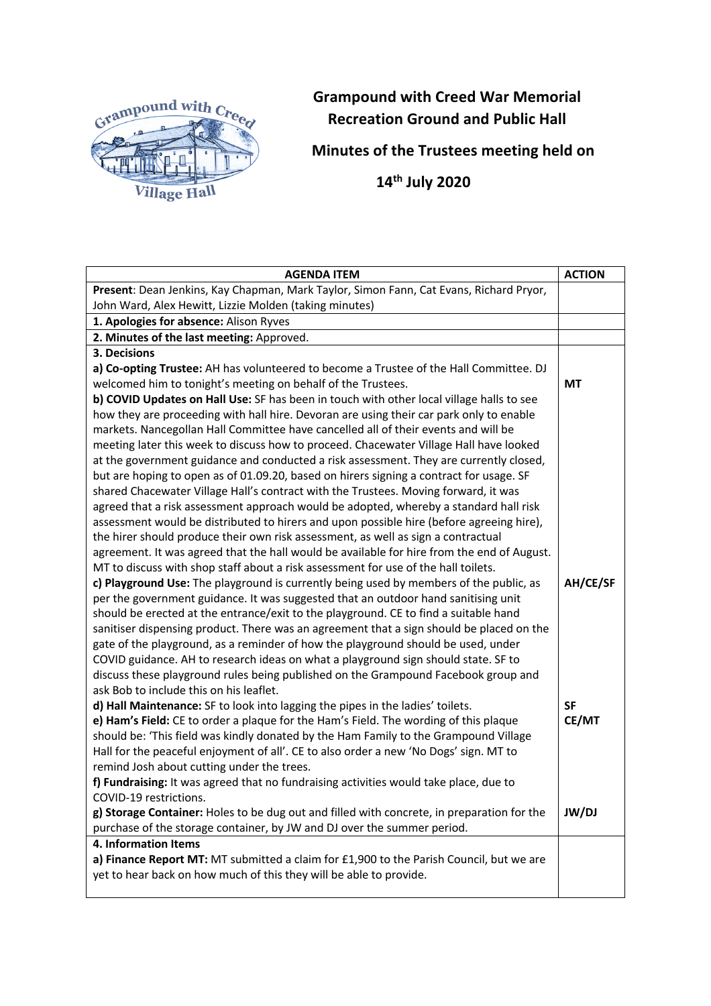

## **Grampound with Creed War Memorial Recreation Ground and Public Hall**

**Minutes of the Trustees meeting held on**

 **14th July 2020**

| <b>AGENDA ITEM</b>                                                                                                                                                       | <b>ACTION</b> |
|--------------------------------------------------------------------------------------------------------------------------------------------------------------------------|---------------|
| Present: Dean Jenkins, Kay Chapman, Mark Taylor, Simon Fann, Cat Evans, Richard Pryor,                                                                                   |               |
| John Ward, Alex Hewitt, Lizzie Molden (taking minutes)                                                                                                                   |               |
| 1. Apologies for absence: Alison Ryves                                                                                                                                   |               |
| 2. Minutes of the last meeting: Approved.                                                                                                                                |               |
| 3. Decisions                                                                                                                                                             |               |
| a) Co-opting Trustee: AH has volunteered to become a Trustee of the Hall Committee. DJ                                                                                   |               |
| welcomed him to tonight's meeting on behalf of the Trustees.                                                                                                             | <b>MT</b>     |
| b) COVID Updates on Hall Use: SF has been in touch with other local village halls to see                                                                                 |               |
| how they are proceeding with hall hire. Devoran are using their car park only to enable                                                                                  |               |
| markets. Nancegollan Hall Committee have cancelled all of their events and will be                                                                                       |               |
| meeting later this week to discuss how to proceed. Chacewater Village Hall have looked                                                                                   |               |
| at the government guidance and conducted a risk assessment. They are currently closed,                                                                                   |               |
| but are hoping to open as of 01.09.20, based on hirers signing a contract for usage. SF                                                                                  |               |
| shared Chacewater Village Hall's contract with the Trustees. Moving forward, it was                                                                                      |               |
| agreed that a risk assessment approach would be adopted, whereby a standard hall risk                                                                                    |               |
| assessment would be distributed to hirers and upon possible hire (before agreeing hire),                                                                                 |               |
| the hirer should produce their own risk assessment, as well as sign a contractual                                                                                        |               |
| agreement. It was agreed that the hall would be available for hire from the end of August.                                                                               |               |
| MT to discuss with shop staff about a risk assessment for use of the hall toilets.                                                                                       |               |
| c) Playground Use: The playground is currently being used by members of the public, as                                                                                   | AH/CE/SF      |
| per the government guidance. It was suggested that an outdoor hand sanitising unit                                                                                       |               |
| should be erected at the entrance/exit to the playground. CE to find a suitable hand                                                                                     |               |
| sanitiser dispensing product. There was an agreement that a sign should be placed on the                                                                                 |               |
| gate of the playground, as a reminder of how the playground should be used, under                                                                                        |               |
| COVID guidance. AH to research ideas on what a playground sign should state. SF to<br>discuss these playground rules being published on the Grampound Facebook group and |               |
| ask Bob to include this on his leaflet.                                                                                                                                  |               |
| d) Hall Maintenance: SF to look into lagging the pipes in the ladies' toilets.                                                                                           | <b>SF</b>     |
| e) Ham's Field: CE to order a plaque for the Ham's Field. The wording of this plaque                                                                                     | CE/MT         |
| should be: 'This field was kindly donated by the Ham Family to the Grampound Village                                                                                     |               |
| Hall for the peaceful enjoyment of all'. CE to also order a new 'No Dogs' sign. MT to                                                                                    |               |
| remind Josh about cutting under the trees.                                                                                                                               |               |
| f) Fundraising: It was agreed that no fundraising activities would take place, due to                                                                                    |               |
| COVID-19 restrictions.                                                                                                                                                   |               |
| g) Storage Container: Holes to be dug out and filled with concrete, in preparation for the                                                                               | <b>JW/DJ</b>  |
| purchase of the storage container, by JW and DJ over the summer period.                                                                                                  |               |
| 4. Information Items                                                                                                                                                     |               |
| a) Finance Report MT: MT submitted a claim for £1,900 to the Parish Council, but we are                                                                                  |               |
| yet to hear back on how much of this they will be able to provide.                                                                                                       |               |
|                                                                                                                                                                          |               |